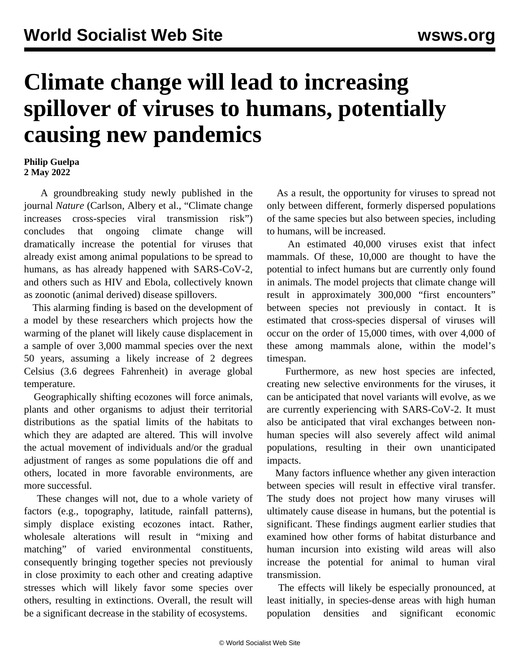## **Climate change will lead to increasing spillover of viruses to humans, potentially causing new pandemics**

## **Philip Guelpa 2 May 2022**

 A groundbreaking study newly published in the journal *Nature* (Carlson, Albery et al., ["Climate change](https://www.nature.com/articles/s41586-022-04788-w) [increases cross-species viral transmission risk](https://www.nature.com/articles/s41586-022-04788-w)") concludes that ongoing climate change will dramatically increase the potential for viruses that already exist among animal populations to be spread to humans, as has already happened with SARS-CoV-2, and others such as HIV and Ebola, collectively known as zoonotic (animal derived) disease spillovers.

 This alarming finding is based on the development of a model by these researchers which projects how the warming of the planet will likely cause displacement in a sample of over 3,000 mammal species over the next 50 years, assuming a likely increase of 2 degrees Celsius (3.6 degrees Fahrenheit) in average global temperature.

 Geographically shifting ecozones will force animals, plants and other organisms to adjust their territorial distributions as the spatial limits of the habitats to which they are adapted are altered. This will involve the actual movement of individuals and/or the gradual adjustment of ranges as some populations die off and others, located in more favorable environments, are more successful.

 These changes will not, due to a whole variety of factors (e.g., topography, latitude, rainfall patterns), simply displace existing ecozones intact. Rather, wholesale alterations will result in "mixing and matching" of varied environmental constituents, consequently bringing together species not previously in close proximity to each other and creating adaptive stresses which will likely favor some species over others, resulting in extinctions. Overall, the result will be a significant decrease in the stability of ecosystems.

 As a result, the opportunity for viruses to spread not only between different, formerly dispersed populations of the same species but also between species, including to humans, will be increased.

 An estimated 40,000 viruses exist that infect mammals. Of these, 10,000 are thought to have the potential to infect humans but are currently only found in animals. The model projects that climate change will result in approximately 300,000 "first encounters" between species not previously in contact. It is estimated that cross-species dispersal of viruses will occur on the order of 15,000 times, with over 4,000 of these among mammals alone, within the model's timespan.

 Furthermore, as new host species are infected, creating new selective environments for the viruses, it can be anticipated that novel variants will evolve, as we are currently experiencing with SARS-CoV-2. It must also be anticipated that viral exchanges between nonhuman species will also severely affect wild animal populations, resulting in their own unanticipated impacts.

 Many factors influence whether any given interaction between species will result in effective viral transfer. The study does not project how many viruses will ultimately cause disease in humans, but the potential is significant. These findings augment earlier studies that examined how other forms of habitat disturbance and human incursion into existing wild areas will also increase the potential for animal to human viral transmission.

 The effects will likely be especially pronounced, at least initially, in species-dense areas with high human population densities and significant economic